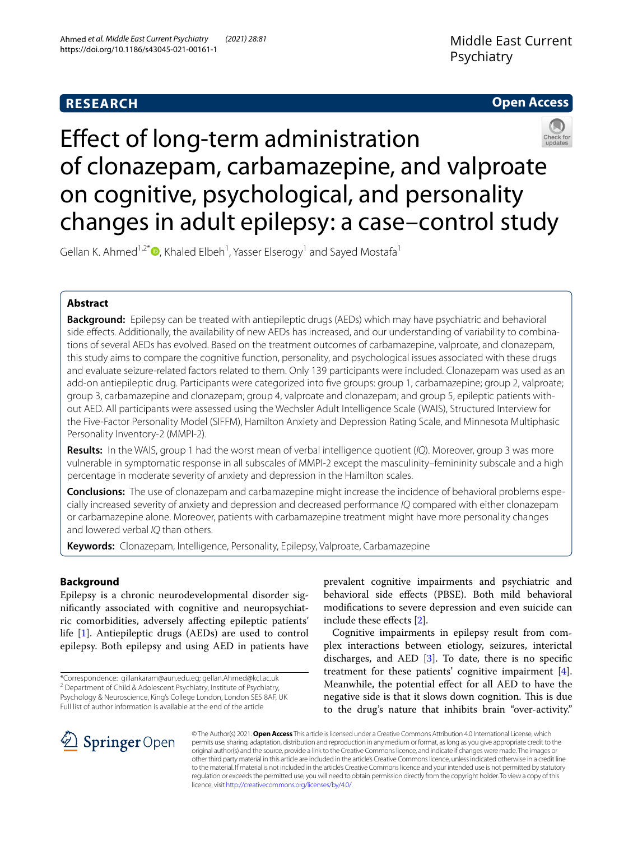# **RESEARCH**

## **Open Access**



# Efect of long-term administration of clonazepam, carbamazepine, and valproate on cognitive, psychological, and personality changes in adult epilepsy: a case–control study

Gellan K. Ahmed<sup>1[,](http://orcid.org/0000-0002-5830-4117)2\*</sup><sup>®</sup>, Khaled Elbeh<sup>1</sup>, Yasser Elserogy<sup>1</sup> and Sayed Mostafa<sup>1</sup>

## **Abstract**

**Background:** Epilepsy can be treated with antiepileptic drugs (AEDs) which may have psychiatric and behavioral side efects. Additionally, the availability of new AEDs has increased, and our understanding of variability to combinations of several AEDs has evolved. Based on the treatment outcomes of carbamazepine, valproate, and clonazepam, this study aims to compare the cognitive function, personality, and psychological issues associated with these drugs and evaluate seizure-related factors related to them. Only 139 participants were included. Clonazepam was used as an add-on antiepileptic drug. Participants were categorized into fve groups: group 1, carbamazepine; group 2, valproate; group 3, carbamazepine and clonazepam; group 4, valproate and clonazepam; and group 5, epileptic patients without AED. All participants were assessed using the Wechsler Adult Intelligence Scale (WAIS), Structured Interview for the Five-Factor Personality Model (SIFFM), Hamilton Anxiety and Depression Rating Scale, and Minnesota Multiphasic Personality Inventory-2 (MMPI-2).

**Results:** In the WAIS, group 1 had the worst mean of verbal intelligence quotient (*IQ*). Moreover, group 3 was more vulnerable in symptomatic response in all subscales of MMPI-2 except the masculinity–femininity subscale and a high percentage in moderate severity of anxiety and depression in the Hamilton scales.

**Conclusions:** The use of clonazepam and carbamazepine might increase the incidence of behavioral problems especially increased severity of anxiety and depression and decreased performance *IQ* compared with either clonazepam or carbamazepine alone. Moreover, patients with carbamazepine treatment might have more personality changes and lowered verbal *IQ* than others.

**Keywords:** Clonazepam, Intelligence, Personality, Epilepsy, Valproate, Carbamazepine

## **Background**

Epilepsy is a chronic neurodevelopmental disorder signifcantly associated with cognitive and neuropsychiatric comorbidities, adversely afecting epileptic patients' life [\[1](#page-8-0)]. Antiepileptic drugs (AEDs) are used to control epilepsy. Both epilepsy and using AED in patients have

\*Correspondence: gillankaram@aun.edu.eg; gellan.Ahmed@kcl.ac.uk <sup>2</sup> Department of Child & Adolescent Psychiatry, Institute of Psychiatry, Psychology & Neuroscience, King's College London, London SE5 8AF, UK Full list of author information is available at the end of the article

prevalent cognitive impairments and psychiatric and behavioral side efects (PBSE). Both mild behavioral modifcations to severe depression and even suicide can include these efects [[2\]](#page-8-1).

Cognitive impairments in epilepsy result from complex interactions between etiology, seizures, interictal discharges, and AED  $[3]$  $[3]$ . To date, there is no specific treatment for these patients' cognitive impairment [\[4](#page-8-3)]. Meanwhile, the potential efect for all AED to have the negative side is that it slows down cognition. This is due to the drug's nature that inhibits brain "over-activity."



© The Author(s) 2021. **Open Access** This article is licensed under a Creative Commons Attribution 4.0 International License, which permits use, sharing, adaptation, distribution and reproduction in any medium or format, as long as you give appropriate credit to the original author(s) and the source, provide a link to the Creative Commons licence, and indicate if changes were made. The images or other third party material in this article are included in the article's Creative Commons licence, unless indicated otherwise in a credit line to the material. If material is not included in the article's Creative Commons licence and your intended use is not permitted by statutory regulation or exceeds the permitted use, you will need to obtain permission directly from the copyright holder. To view a copy of this licence, visit [http://creativecommons.org/licenses/by/4.0/.](http://creativecommons.org/licenses/by/4.0/)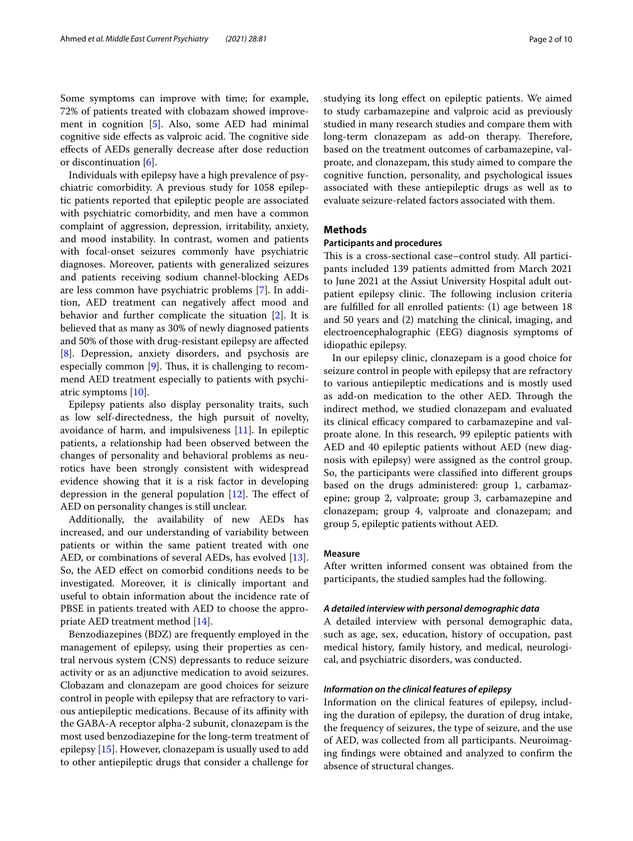Some symptoms can improve with time; for example, 72% of patients treated with clobazam showed improvement in cognition [\[5](#page-8-4)]. Also, some AED had minimal cognitive side effects as valproic acid. The cognitive side efects of AEDs generally decrease after dose reduction or discontinuation [[6](#page-8-5)].

Individuals with epilepsy have a high prevalence of psychiatric comorbidity. A previous study for 1058 epileptic patients reported that epileptic people are associated with psychiatric comorbidity, and men have a common complaint of aggression, depression, irritability, anxiety, and mood instability. In contrast, women and patients with focal-onset seizures commonly have psychiatric diagnoses. Moreover, patients with generalized seizures and patients receiving sodium channel-blocking AEDs are less common have psychiatric problems [\[7\]](#page-8-6). In addition, AED treatment can negatively afect mood and behavior and further complicate the situation [[2\]](#page-8-1). It is believed that as many as 30% of newly diagnosed patients and 50% of those with drug-resistant epilepsy are afected [[8\]](#page-8-7). Depression, anxiety disorders, and psychosis are especially common  $[9]$  $[9]$ . Thus, it is challenging to recommend AED treatment especially to patients with psychiatric symptoms [\[10](#page-8-9)].

Epilepsy patients also display personality traits, such as low self-directedness, the high pursuit of novelty, avoidance of harm, and impulsiveness [[11\]](#page-8-10). In epileptic patients, a relationship had been observed between the changes of personality and behavioral problems as neurotics have been strongly consistent with widespread evidence showing that it is a risk factor in developing depression in the general population  $[12]$  $[12]$ . The effect of AED on personality changes is still unclear.

Additionally, the availability of new AEDs has increased, and our understanding of variability between patients or within the same patient treated with one AED, or combinations of several AEDs, has evolved [\[13](#page-8-12)]. So, the AED efect on comorbid conditions needs to be investigated. Moreover, it is clinically important and useful to obtain information about the incidence rate of PBSE in patients treated with AED to choose the appropriate AED treatment method [\[14\]](#page-8-13).

Benzodiazepines (BDZ) are frequently employed in the management of epilepsy, using their properties as central nervous system (CNS) depressants to reduce seizure activity or as an adjunctive medication to avoid seizures. Clobazam and clonazepam are good choices for seizure control in people with epilepsy that are refractory to various antiepileptic medications. Because of its afnity with the GABA-A receptor alpha-2 subunit, clonazepam is the most used benzodiazepine for the long-term treatment of epilepsy [\[15](#page-8-14)]. However, clonazepam is usually used to add to other antiepileptic drugs that consider a challenge for studying its long efect on epileptic patients. We aimed to study carbamazepine and valproic acid as previously studied in many research studies and compare them with long-term clonazepam as add-on therapy. Therefore, based on the treatment outcomes of carbamazepine, valproate, and clonazepam, this study aimed to compare the cognitive function, personality, and psychological issues associated with these antiepileptic drugs as well as to evaluate seizure-related factors associated with them.

## **Methods**

## **Participants and procedures**

This is a cross-sectional case–control study. All participants included 139 patients admitted from March 2021 to June 2021 at the Assiut University Hospital adult outpatient epilepsy clinic. The following inclusion criteria are fulflled for all enrolled patients: (1) age between 18 and 50 years and (2) matching the clinical, imaging, and electroencephalographic (EEG) diagnosis symptoms of idiopathic epilepsy.

In our epilepsy clinic, clonazepam is a good choice for seizure control in people with epilepsy that are refractory to various antiepileptic medications and is mostly used as add-on medication to the other AED. Through the indirect method, we studied clonazepam and evaluated its clinical efficacy compared to carbamazepine and valproate alone. In this research, 99 epileptic patients with AED and 40 epileptic patients without AED (new diagnosis with epilepsy) were assigned as the control group. So, the participants were classifed into diferent groups based on the drugs administered: group 1, carbamazepine; group 2, valproate; group 3, carbamazepine and clonazepam; group 4, valproate and clonazepam; and group 5, epileptic patients without AED.

#### **Measure**

After written informed consent was obtained from the participants, the studied samples had the following.

## *A detailed interview with personal demographic data*

A detailed interview with personal demographic data, such as age, sex, education, history of occupation, past medical history, family history, and medical, neurological, and psychiatric disorders, was conducted.

#### *Information on the clinical features of epilepsy*

Information on the clinical features of epilepsy, including the duration of epilepsy, the duration of drug intake, the frequency of seizures, the type of seizure, and the use of AED, was collected from all participants. Neuroimaging fndings were obtained and analyzed to confrm the absence of structural changes.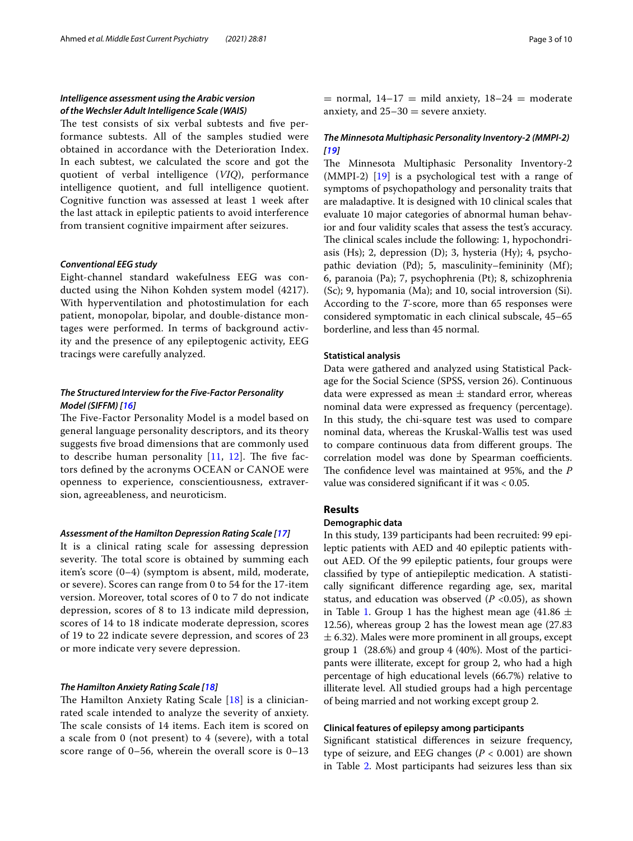## *Intelligence assessment using the Arabic version of the Wechsler Adult Intelligence Scale (WAIS)*

The test consists of six verbal subtests and five performance subtests. All of the samples studied were obtained in accordance with the Deterioration Index. In each subtest, we calculated the score and got the quotient of verbal intelligence (*VIQ*), performance intelligence quotient, and full intelligence quotient. Cognitive function was assessed at least 1 week after the last attack in epileptic patients to avoid interference from transient cognitive impairment after seizures.

## *Conventional EEG study*

Eight-channel standard wakefulness EEG was conducted using the Nihon Kohden system model (4217). With hyperventilation and photostimulation for each patient, monopolar, bipolar, and double-distance montages were performed. In terms of background activity and the presence of any epileptogenic activity, EEG tracings were carefully analyzed.

## *The Structured Interview for the Five‑Factor Personality Model (SIFFM) [[16](#page-8-15)]*

The Five-Factor Personality Model is a model based on general language personality descriptors, and its theory suggests fve broad dimensions that are commonly used to describe human personality  $[11, 12]$  $[11, 12]$  $[11, 12]$  $[11, 12]$ . The five factors defned by the acronyms OCEAN or CANOE were openness to experience, conscientiousness, extraversion, agreeableness, and neuroticism.

## *Assessment of the Hamilton Depression Rating Scale [[17](#page-8-16)]*

It is a clinical rating scale for assessing depression severity. The total score is obtained by summing each item's score (0–4) (symptom is absent, mild, moderate, or severe). Scores can range from 0 to 54 for the 17-item version. Moreover, total scores of 0 to 7 do not indicate depression, scores of 8 to 13 indicate mild depression, scores of 14 to 18 indicate moderate depression, scores of 19 to 22 indicate severe depression, and scores of 23 or more indicate very severe depression.

## *The Hamilton Anxiety Rating Scale [[18](#page-8-17)]*

The Hamilton Anxiety Rating Scale  $[18]$  $[18]$  is a clinicianrated scale intended to analyze the severity of anxiety. The scale consists of 14 items. Each item is scored on a scale from 0 (not present) to 4 (severe), with a total score range of 0–56, wherein the overall score is 0–13  $=$  normal,  $14-17 =$  mild anxiety,  $18-24 =$  moderate anxiety, and  $25-30$  = severe anxiety.

## *The Minnesota Multiphasic Personality Inventory‑2 (MMPI‑2) [\[19](#page-8-18)]*

The Minnesota Multiphasic Personality Inventory-2  $(MMPI-2)$  [[19](#page-8-18)] is a psychological test with a range of symptoms of psychopathology and personality traits that are maladaptive. It is designed with 10 clinical scales that evaluate 10 major categories of abnormal human behavior and four validity scales that assess the test's accuracy. The clinical scales include the following: 1, hypochondriasis (Hs); 2, depression (D); 3, hysteria (Hy); 4, psychopathic deviation (Pd); 5, masculinity–femininity (Mf); 6, paranoia (Pa); 7, psychophrenia (Pt); 8, schizophrenia (Sc); 9, hypomania (Ma); and 10, social introversion (Si). According to the *T*-score, more than 65 responses were considered symptomatic in each clinical subscale, 45–65 borderline, and less than 45 normal.

## **Statistical analysis**

Data were gathered and analyzed using Statistical Package for the Social Science (SPSS, version 26). Continuous data were expressed as mean  $\pm$  standard error, whereas nominal data were expressed as frequency (percentage). In this study, the chi-square test was used to compare nominal data, whereas the Kruskal-Wallis test was used to compare continuous data from different groups. The correlation model was done by Spearman coefficients. The confidence level was maintained at 95%, and the *P* value was considered signifcant if it was < 0.05.

## **Results**

## **Demographic data**

In this study, 139 participants had been recruited: 99 epileptic patients with AED and 40 epileptic patients without AED. Of the 99 epileptic patients, four groups were classifed by type of antiepileptic medication. A statistically signifcant diference regarding age, sex, marital status, and education was observed  $(P \lt 0.05)$ , as shown in Table [1](#page-3-0). Group 1 has the highest mean age (41.86  $\pm$ 12.56), whereas group 2 has the lowest mean age (27.83  $\pm$  6.32). Males were more prominent in all groups, except group 1 (28.6%) and group 4 (40%). Most of the participants were illiterate, except for group 2, who had a high percentage of high educational levels (66.7%) relative to illiterate level. All studied groups had a high percentage of being married and not working except group 2.

## **Clinical features of epilepsy among participants**

Signifcant statistical diferences in seizure frequency, type of seizure, and EEG changes (*P* < 0.001) are shown in Table [2](#page-3-1). Most participants had seizures less than six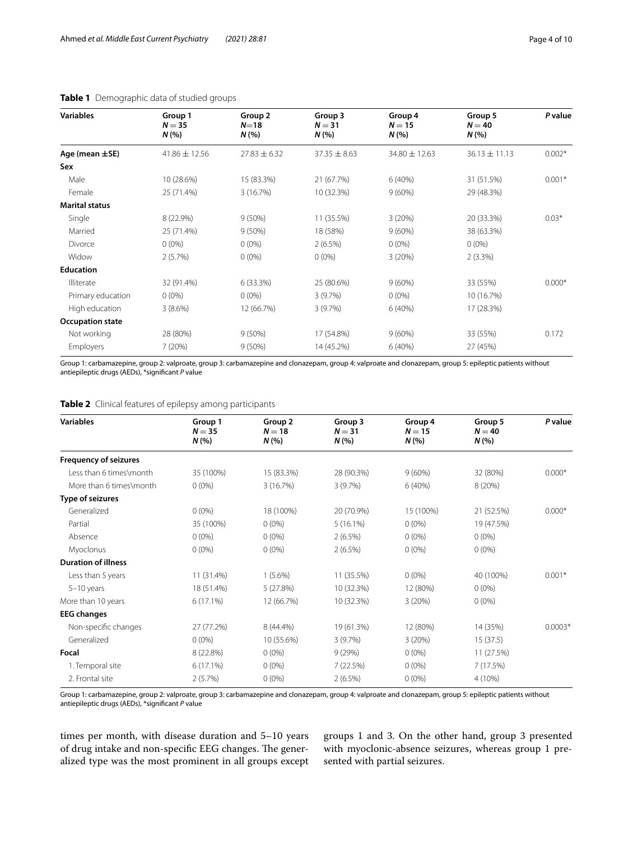| <b>Variables</b>        | Group 1<br>$N = 35$<br>N(% | Group 2<br>$N=18$<br>N(% | Group 3<br>$N = 31$<br>N(% | Group 4<br>$N = 15$<br>N(% | Group 5<br>$N = 40$<br>N(% | P value  |
|-------------------------|----------------------------|--------------------------|----------------------------|----------------------------|----------------------------|----------|
| Age (mean $\pm$ SE)     | $41.86 \pm 12.56$          | $27.83 \pm 6.32$         | $37.35 \pm 8.63$           | 34.80 ± 12.63              | $36.13 \pm 11.13$          | $0.002*$ |
| Sex                     |                            |                          |                            |                            |                            |          |
| Male                    | 10 (28.6%)                 | 15 (83.3%)               | 21 (67.7%)                 | 6(40%)                     | 31 (51.5%)                 | $0.001*$ |
| Female                  | 25 (71.4%)                 | 3 (16.7%)                | 10 (32.3%)                 | 9(60%)                     | 29 (48.3%)                 |          |
| <b>Marital status</b>   |                            |                          |                            |                            |                            |          |
| Single                  | 8 (22.9%)                  | $9(50\%)$                | 11 (35.5%)                 | 3(20%)                     | 20 (33.3%)                 | $0.03*$  |
| Married                 | 25 (71.4%)                 | $9(50\%)$                | 18 (58%)                   | $9(60\%)$                  | 38 (63.3%)                 |          |
| Divorce                 | $0(0\%)$                   | $0(0\%)$                 | 2(6.5%)                    | $0(0\%)$                   | $0(0\%)$                   |          |
| Widow                   | 2(5.7%)                    | $0(0\%)$                 | $0(0\%)$                   | 3(20%)                     | $2(3.3\%)$                 |          |
| <b>Education</b>        |                            |                          |                            |                            |                            |          |
| Illiterate              | 32 (91.4%)                 | 6(33.3%)                 | 25 (80.6%)                 | $9(60\%)$                  | 33 (55%)                   | $0.000*$ |
| Primary education       | $0(0\%)$                   | $0(0\%)$                 | 3(9.7%)                    | $0(0\%)$                   | 10 (16.7%)                 |          |
| High education          | 3(8.6%)                    | 12 (66.7%)               | 3(9.7%)                    | 6(40%)                     | 17 (28.3%)                 |          |
| <b>Occupation state</b> |                            |                          |                            |                            |                            |          |
| Not working             | 28 (80%)                   | $9(50\%)$                | 17 (54.8%)                 | 9(60%)                     | 33 (55%)                   | 0.172    |
| Employers               | 7(20%)                     | $9(50\%)$                | 14 (45.2%)                 | 6(40%)                     | 27 (45%)                   |          |

## <span id="page-3-0"></span>**Table 1** Demographic data of studied groups

Group 1: carbamazepine, group 2: valproate, group 3: carbamazepine and clonazepam, group 4: valproate and clonazepam, group 5: epileptic patients without antiepileptic drugs (AEDs), \*signifcant *P* value

<span id="page-3-1"></span>**Table 2** Clinical features of epilepsy among participants

| <b>Variables</b>             | Group 1     | Group 2    | Group 3     | Group 4   | Group 5    | P value   |
|------------------------------|-------------|------------|-------------|-----------|------------|-----------|
|                              | $N = 35$    | $N = 18$   | $N = 31$    | $N = 15$  | $N = 40$   |           |
|                              | N(%         | N(%        | N(%         | N(%       | N(%        |           |
| <b>Frequency of seizures</b> |             |            |             |           |            |           |
| Less than 6 times\month      | 35 (100%)   | 15 (83.3%) | 28 (90.3%)  | $9(60\%)$ | 32 (80%)   | $0.000*$  |
| More than 6 times\month      | $0(0\%)$    | 3 (16.7%)  | 3(9.7%)     | 6(40%)    | 8(20%)     |           |
| Type of seizures             |             |            |             |           |            |           |
| Generalized                  | $0(0\%)$    | 18 (100%)  | 20 (70.9%)  | 15 (100%) | 21 (52.5%) | $0.000*$  |
| Partial                      | 35 (100%)   | $0(0\%)$   | $5(16.1\%)$ | $0(0\%)$  | 19 (47.5%) |           |
| Absence                      | $0(0\%)$    | $0(0\%)$   | 2(6.5%)     | $0(0\%)$  | $0(0\%)$   |           |
| Myoclonus                    | $0(0\%)$    | $0(0\%)$   | 2(6.5%)     | $0(0\%)$  | $0(0\%)$   |           |
| <b>Duration of illness</b>   |             |            |             |           |            |           |
| Less than 5 years            | 11 (31.4%)  | $1(5.6\%)$ | 11 (35.5%)  | $0(0\%)$  | 40 (100%)  | $0.001*$  |
| $5-10$ years                 | 18 (51.4%)  | 5(27.8%)   | 10 (32.3%)  | 12 (80%)  | $0(0\%)$   |           |
| More than 10 years           | $6(17.1\%)$ | 12 (66.7%) | 10 (32.3%)  | 3(20%)    | $0(0\%)$   |           |
| <b>EEG</b> changes           |             |            |             |           |            |           |
| Non-specific changes         | 27 (77.2%)  | 8 (44.4%)  | 19 (61.3%)  | 12 (80%)  | 14 (35%)   | $0.0003*$ |
| Generalized                  | $0(0\%)$    | 10 (55.6%) | 3(9.7%)     | 3(20%)    | 15(37.5)   |           |
| Focal                        | 8 (22.8%)   | $0(0\%)$   | 9(29%)      | $0(0\%)$  | 11 (27.5%) |           |
| 1. Temporal site             | 6(17.1%)    | $0(0\%)$   | 7(22.5%)    | $0(0\%)$  | 7 (17.5%)  |           |
| 2. Frontal site              | 2(5.7%)     | $0(0\%)$   | 2(6.5%)     | $0(0\%)$  | 4 (10%)    |           |
|                              |             |            |             |           |            |           |

Group 1: carbamazepine, group 2: valproate, group 3: carbamazepine and clonazepam, group 4: valproate and clonazepam, group 5: epileptic patients without antiepileptic drugs (AEDs), \*signifcant *P* value

times per month, with disease duration and 5–10 years of drug intake and non-specific EEG changes. The generalized type was the most prominent in all groups except groups 1 and 3. On the other hand, group 3 presented with myoclonic-absence seizures, whereas group 1 presented with partial seizures.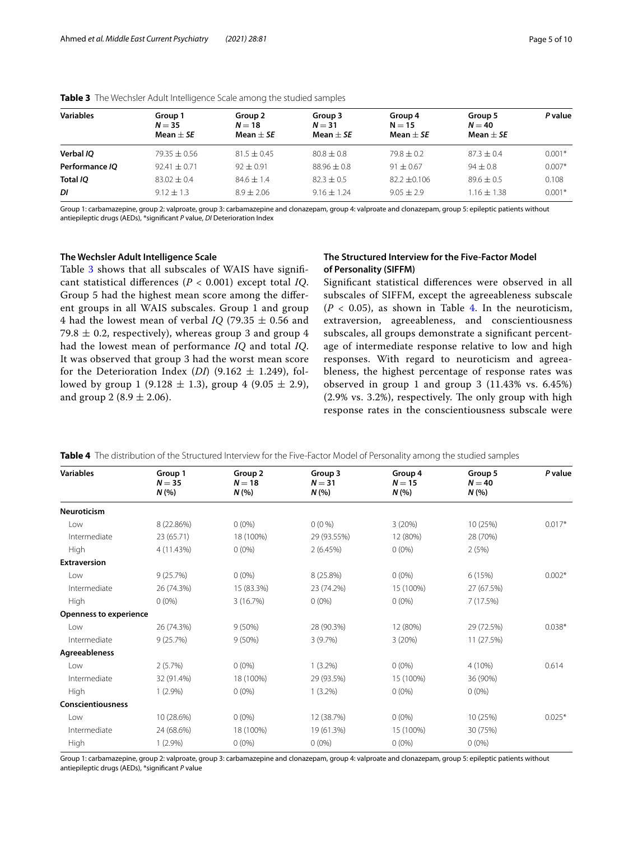| Group 1<br>$N = 35$<br>Mean $\pm$ SE | Group 2<br>$N = 18$<br>Mean $\pm$ SE | Group 3<br>$N = 31$<br>Mean $+$ SE | Group 4<br>$N = 15$<br>Mean $+$ SE | Group 5<br>$N = 40$<br>Mean $\pm$ SE | P value  |
|--------------------------------------|--------------------------------------|------------------------------------|------------------------------------|--------------------------------------|----------|
| $79.35 \pm 0.56$                     | $81.5 \pm 0.45$                      | $80.8 + 0.8$                       | $79.8 \pm 0.2$                     | $87.3 \pm 0.4$                       | $0.001*$ |
| $92.41 \pm 0.71$                     | $92 + 0.91$                          | $88.96 \pm 0.8$                    | $91 \pm 0.67$                      | $94 + 0.8$                           | $0.007*$ |
| $83.02 + 0.4$                        | $84.6 \pm 1.4$                       | $82.3 \pm 0.5$                     | $82.2 + 0.106$                     | $89.6 \pm 0.5$                       | 0.108    |
| $9.12 \pm 1.3$                       | $8.9 + 2.06$                         | $9.16 + 1.24$                      | $9.05 + 2.9$                       | $1.16 \pm 1.38$                      | $0.001*$ |
|                                      |                                      |                                    |                                    |                                      |          |

<span id="page-4-0"></span>**Table 3** The Wechsler Adult Intelligence Scale among the studied samples

Group 1: carbamazepine, group 2: valproate, group 3: carbamazepine and clonazepam, group 4: valproate and clonazepam, group 5: epileptic patients without antiepileptic drugs (AEDs), \*signifcant *P* value, *DI* Deterioration Index

## **The Wechsler Adult Intelligence Scale**

Table [3](#page-4-0) shows that all subscales of WAIS have significant statistical diferences (*P* < 0.001) except total *IQ*. Group 5 had the highest mean score among the diferent groups in all WAIS subscales. Group 1 and group 4 had the lowest mean of verbal *IQ* (79.35  $\pm$  0.56 and 79.8  $\pm$  0.2, respectively), whereas group 3 and group 4 had the lowest mean of performance *IQ* and total *IQ*. It was observed that group 3 had the worst mean score for the Deterioration Index (*DI*) (9.162  $\pm$  1.249), followed by group 1 (9.128  $\pm$  1.3), group 4 (9.05  $\pm$  2.9), and group 2 (8.9  $\pm$  2.06).

## **The Structured Interview for the Five‑Factor Model of Personality (SIFFM)**

Signifcant statistical diferences were observed in all subscales of SIFFM, except the agreeableness subscale  $(P < 0.05)$ , as shown in Table [4](#page-4-1). In the neuroticism, extraversion, agreeableness, and conscientiousness subscales, all groups demonstrate a signifcant percentage of intermediate response relative to low and high responses. With regard to neuroticism and agreeableness, the highest percentage of response rates was observed in group 1 and group 3 (11.43% vs. 6.45%)  $(2.9\% \text{ vs. } 3.2\%)$ , respectively. The only group with high response rates in the conscientiousness subscale were

<span id="page-4-1"></span>

|  |  |  |  |  |  |  | Table 4 The distribution of the Structured Interview for the Five-Factor Model of Personality among the studied samples |  |
|--|--|--|--|--|--|--|-------------------------------------------------------------------------------------------------------------------------|--|
|--|--|--|--|--|--|--|-------------------------------------------------------------------------------------------------------------------------|--|

| <b>Variables</b>              | Group 1<br>$N = 35$<br>N(% | Group <sub>2</sub><br>$N = 18$<br>N(% | Group 3<br>$N = 31$<br>N (%) | Group 4<br>$N = 15$<br>N(% | Group 5<br>$N = 40$<br>N(% | P value  |
|-------------------------------|----------------------------|---------------------------------------|------------------------------|----------------------------|----------------------------|----------|
| <b>Neuroticism</b>            |                            |                                       |                              |                            |                            |          |
| Low                           | 8 (22.86%)                 | $0(0\%)$                              | $0(0\%)$                     | 3(20%)                     | 10 (25%)                   | $0.017*$ |
| Intermediate                  | 23 (65.71)                 | 18 (100%)                             | 29 (93.55%)                  | 12 (80%)                   | 28 (70%)                   |          |
| <b>High</b>                   | 4 (11.43%)                 | $0(0\%)$                              | 2(6.45%)                     | $0(0\%)$                   | 2(5%)                      |          |
| <b>Extraversion</b>           |                            |                                       |                              |                            |                            |          |
| Low                           | 9(25.7%)                   | $0(0\%)$                              | 8 (25.8%)                    | $0(0\%)$                   | 6(15%)                     | $0.002*$ |
| Intermediate                  | 26 (74.3%)                 | 15 (83.3%)                            | 23 (74.2%)                   | 15 (100%)                  | 27 (67.5%)                 |          |
| High                          | $0(0\%)$                   | 3(16.7%)                              | $0(0\%)$                     | $0(0\%)$                   | 7(17.5%)                   |          |
| <b>Openness to experience</b> |                            |                                       |                              |                            |                            |          |
| Low                           | 26 (74.3%)                 | $9(50\%)$                             | 28 (90.3%)                   | 12 (80%)                   | 29 (72.5%)                 | $0.038*$ |
| Intermediate                  | 9(25.7%)                   | 9(50%)                                | 3(9.7%)                      | 3(20%)                     | 11 (27.5%)                 |          |
| Agreeableness                 |                            |                                       |                              |                            |                            |          |
| Low                           | 2(5.7%)                    | $0(0\%)$                              | $1(3.2\%)$                   | $0(0\%)$                   | 4 (10%)                    | 0.614    |
| Intermediate                  | 32 (91.4%)                 | 18 (100%)                             | 29 (93.5%)                   | 15 (100%)                  | 36 (90%)                   |          |
| High                          | $1(2.9\%)$                 | $0(0\%)$                              | $1(3.2\%)$                   | $0(0\%)$                   | $0(0\%)$                   |          |
| Conscientiousness             |                            |                                       |                              |                            |                            |          |
| Low                           | 10 (28.6%)                 | $0(0\%)$                              | 12 (38.7%)                   | $0(0\%)$                   | 10 (25%)                   | $0.025*$ |
| Intermediate                  | 24 (68.6%)                 | 18 (100%)                             | 19 (61.3%)                   | 15 (100%)                  | 30 (75%)                   |          |
| High                          | $1(2.9\%)$                 | $0(0\%)$                              | $0(0\%)$                     | $0(0\%)$                   | $0(0\%)$                   |          |

Group 1: carbamazepine, group 2: valproate, group 3: carbamazepine and clonazepam, group 4: valproate and clonazepam, group 5: epileptic patients without antiepileptic drugs (AEDs), \*signifcant *P* value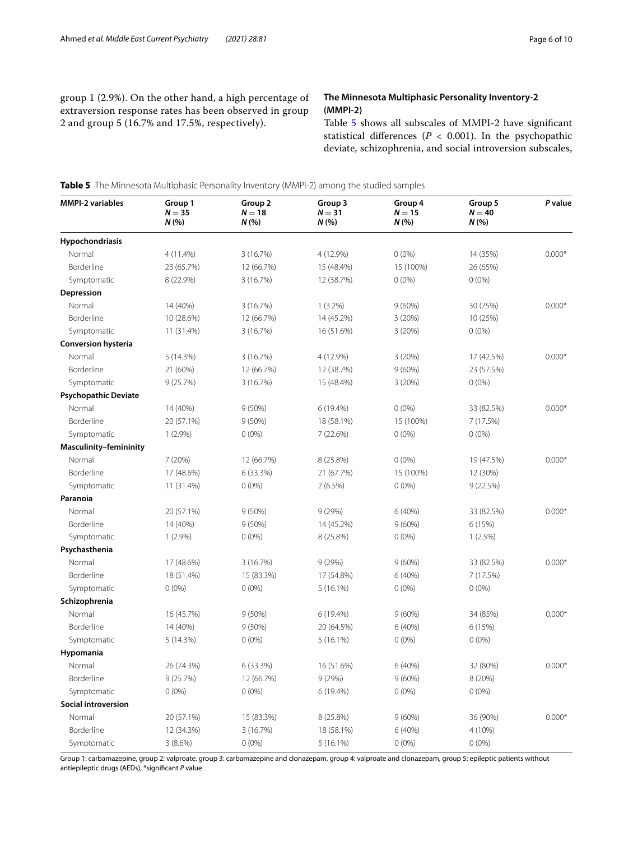group 1 (2.9%). On the other hand, a high percentage of extraversion response rates has been observed in group 2 and group 5 (16.7% and 17.5%, respectively).

## **The Minnesota Multiphasic Personality Inventory‑2 (MMPI‑2)**

Table [5](#page-5-0) shows all subscales of MMPI-2 have signifcant statistical differences ( $P < 0.001$ ). In the psychopathic deviate, schizophrenia, and social introversion subscales,

<span id="page-5-0"></span>**Table 5** The Minnesota Multiphasic Personality Inventory (MMPI-2) among the studied samples

| <b>MMPI-2 variables</b>       | Group 1<br>$N = 35$<br>N(% | Group <sub>2</sub><br>$N = 18$<br>N(% | Group 3<br>$N = 31$<br>N(%) | Group 4<br>$N = 15$<br>N (%) | Group 5<br>$N = 40$<br>N(% | P value  |
|-------------------------------|----------------------------|---------------------------------------|-----------------------------|------------------------------|----------------------------|----------|
| Hypochondriasis               |                            |                                       |                             |                              |                            |          |
| Normal                        | 4 (11.4%)                  | 3 (16.7%)                             | 4 (12.9%)                   | $0(0\%)$                     | 14 (35%)                   | $0.000*$ |
| Borderline                    | 23 (65.7%)                 | 12 (66.7%)                            | 15 (48.4%)                  | 15 (100%)                    | 26 (65%)                   |          |
| Symptomatic                   | 8 (22.9%)                  | 3 (16.7%)                             | 12 (38.7%)                  | $0(0\%)$                     | $0(0\%)$                   |          |
| Depression                    |                            |                                       |                             |                              |                            |          |
| Normal                        | 14 (40%)                   | 3(16.7%)                              | $1(3.2\%)$                  | $9(60\%)$                    | 30 (75%)                   | $0.000*$ |
| Borderline                    | 10 (28.6%)                 | 12 (66.7%)                            | 14 (45.2%)                  | 3(20%)                       | 10 (25%)                   |          |
| Symptomatic                   | 11 (31.4%)                 | 3 (16.7%)                             | 16 (51.6%)                  | 3(20%)                       | $0(0\%)$                   |          |
| <b>Conversion hysteria</b>    |                            |                                       |                             |                              |                            |          |
| Normal                        | 5(14.3%)                   | 3 (16.7%)                             | 4 (12.9%)                   | 3(20%)                       | 17 (42.5%)                 | $0.000*$ |
| Borderline                    | 21 (60%)                   | 12 (66.7%)                            | 12 (38.7%)                  | $9(60\%)$                    | 23 (57.5%)                 |          |
| Symptomatic                   | 9(25.7%)                   | 3 (16.7%)                             | 15 (48.4%)                  | 3(20%)                       | $0(0\%)$                   |          |
| <b>Psychopathic Deviate</b>   |                            |                                       |                             |                              |                            |          |
| Normal                        | 14 (40%)                   | 9(50%)                                | 6 (19.4%)                   | $0(0\%)$                     | 33 (82.5%)                 | $0.000*$ |
| Borderline                    | 20 (57.1%)                 | $9(50\%)$                             | 18 (58.1%)                  | 15 (100%)                    | 7 (17.5%)                  |          |
| Symptomatic                   | $1(2.9\%)$                 | $0(0\%)$                              | 7 (22.6%)                   | $0(0\%)$                     | $0(0\%)$                   |          |
| <b>Masculinity-femininity</b> |                            |                                       |                             |                              |                            |          |
| Normal                        | 7 (20%)                    | 12 (66.7%)                            | 8 (25.8%)                   | $0(0\%)$                     | 19 (47.5%)                 | $0.000*$ |
| Borderline                    | 17 (48.6%)                 | 6(33.3%)                              | 21 (67.7%)                  | 15 (100%)                    | 12 (30%)                   |          |
| Symptomatic                   | 11 (31.4%)                 | $0(0\%)$                              | $2(6.5\%)$                  | $0(0\%)$                     | 9(22.5%)                   |          |
| Paranoia                      |                            |                                       |                             |                              |                            |          |
| Normal                        | 20 (57.1%)                 | 9(50%)                                | 9(29%)                      | 6 (40%)                      | 33 (82.5%)                 | $0.000*$ |
| Borderline                    | 14 (40%)                   | $9(50\%)$                             | 14 (45.2%)                  | $9(60\%)$                    | 6 (15%)                    |          |
| Symptomatic                   | $1(2.9\%)$                 | $0(0\%)$                              | 8 (25.8%)                   | $0(0\%)$                     | 1(2.5%)                    |          |
| Psychasthenia                 |                            |                                       |                             |                              |                            |          |
| Normal                        | 17 (48.6%)                 | 3 (16.7%)                             | 9(29%)                      | $9(60\%)$                    | 33 (82.5%)                 | $0.000*$ |
| Borderline                    | 18 (51.4%)                 | 15 (83.3%)                            | 17 (54.8%)                  | 6 (40%)                      | 7 (17.5%)                  |          |
| Symptomatic                   | $0(0\%)$                   | $0(0\%)$                              | 5(16.1%)                    | $0(0\%)$                     | $0(0\%)$                   |          |
| Schizophrenia                 |                            |                                       |                             |                              |                            |          |
| Normal                        | 16 (45.7%)                 | 9(50%)                                | 6 (19.4%)                   | 9(60%)                       | 34 (85%)                   | $0.000*$ |
| Borderline                    | 14 (40%)                   | 9(50%)                                | 20 (64.5%)                  | 6 (40%)                      | 6(15%)                     |          |
| Symptomatic                   | 5 (14.3%)                  | $0(0\%)$                              | 5(16.1%)                    | $0(0\%)$                     | $0(0\%)$                   |          |
| Hypomania                     |                            |                                       |                             |                              |                            |          |
| Normal                        | 26 (74.3%)                 | 6 (33.3%)                             | 16 (51.6%)                  | 6 (40%)                      | 32 (80%)                   | $0.000*$ |
| Borderline                    | 9(25.7%)                   | 12 (66.7%)                            | 9(29%)                      | $9(60\%)$                    | 8 (20%)                    |          |
| Symptomatic                   | $0(0\%)$                   | $0(0\%)$                              | 6 (19.4%)                   | $0(0\%)$                     | $0(0\%)$                   |          |
| Social introversion           |                            |                                       |                             |                              |                            |          |
| Normal                        | 20 (57.1%)                 | 15 (83.3%)                            | 8 (25.8%)                   | 9(60%)                       | 36 (90%)                   | $0.000*$ |
| Borderline                    | 12 (34.3%)                 | 3 (16.7%)                             | 18 (58.1%)                  | 6(40%)                       | 4 (10%)                    |          |
| Symptomatic                   | 3(8.6%)                    | $0(0\%)$                              | $5(16.1\%)$                 | $0(0\%)$                     | $0(0\%)$                   |          |

Group 1: carbamazepine, group 2: valproate, group 3: carbamazepine and clonazepam, group 4: valproate and clonazepam, group 5: epileptic patients without antiepileptic drugs (AEDs), \*signifcant *P* value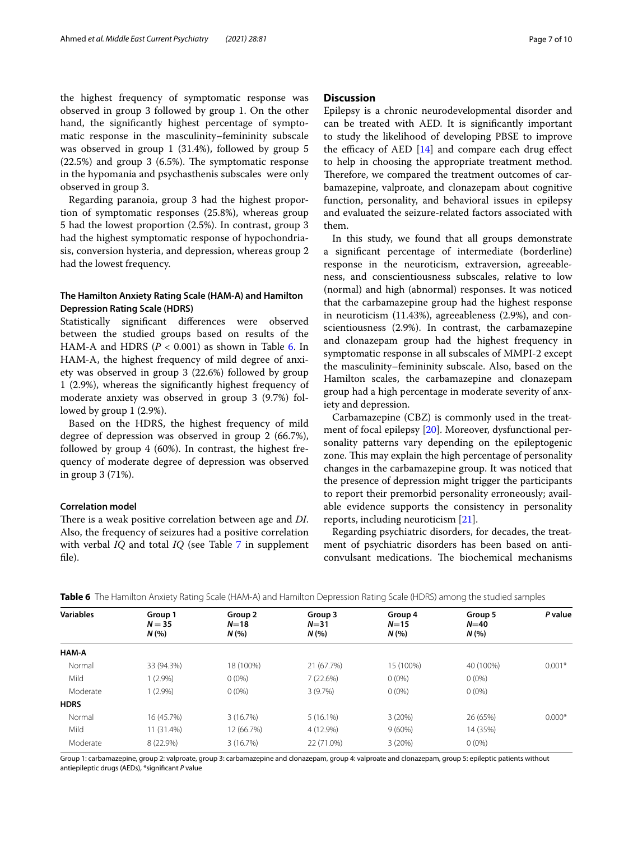the highest frequency of symptomatic response was observed in group 3 followed by group 1. On the other hand, the signifcantly highest percentage of symptomatic response in the masculinity–femininity subscale was observed in group 1 (31.4%), followed by group 5  $(22.5%)$  and group 3  $(6.5%)$ . The symptomatic response in the hypomania and psychasthenis subscales were only observed in group 3.

Regarding paranoia, group 3 had the highest proportion of symptomatic responses (25.8%), whereas group 5 had the lowest proportion (2.5%). In contrast, group 3 had the highest symptomatic response of hypochondriasis, conversion hysteria, and depression, whereas group 2 had the lowest frequency.

## **The Hamilton Anxiety Rating Scale (HAM‑A) and Hamilton Depression Rating Scale (HDRS)**

Statistically signifcant diferences were observed between the studied groups based on results of the HAM-A and HDRS  $(P < 0.001)$  as shown in Table [6](#page-6-0). In HAM-A, the highest frequency of mild degree of anxiety was observed in group 3 (22.6%) followed by group 1 (2.9%), whereas the signifcantly highest frequency of moderate anxiety was observed in group 3 (9.7%) followed by group 1 (2.9%).

Based on the HDRS, the highest frequency of mild degree of depression was observed in group 2 (66.7%), followed by group 4 (60%). In contrast, the highest frequency of moderate degree of depression was observed in group 3 (71%).

## **Correlation model**

There is a weak positive correlation between age and *DI*. Also, the frequency of seizures had a positive correlation with verbal *IQ* and total *IQ* (see Table [7](#page-8-19) in supplement fle).

## **Discussion**

Epilepsy is a chronic neurodevelopmental disorder and can be treated with AED. It is signifcantly important to study the likelihood of developing PBSE to improve the efficacy of AED  $[14]$  and compare each drug effect to help in choosing the appropriate treatment method. Therefore, we compared the treatment outcomes of carbamazepine, valproate, and clonazepam about cognitive function, personality, and behavioral issues in epilepsy and evaluated the seizure-related factors associated with them.

In this study, we found that all groups demonstrate a signifcant percentage of intermediate (borderline) response in the neuroticism, extraversion, agreeableness, and conscientiousness subscales, relative to low (normal) and high (abnormal) responses. It was noticed that the carbamazepine group had the highest response in neuroticism (11.43%), agreeableness (2.9%), and conscientiousness (2.9%). In contrast, the carbamazepine and clonazepam group had the highest frequency in symptomatic response in all subscales of MMPI-2 except the masculinity–femininity subscale. Also, based on the Hamilton scales, the carbamazepine and clonazepam group had a high percentage in moderate severity of anxiety and depression.

Carbamazepine (CBZ) is commonly used in the treatment of focal epilepsy [[20\]](#page-8-20). Moreover, dysfunctional personality patterns vary depending on the epileptogenic zone. This may explain the high percentage of personality changes in the carbamazepine group. It was noticed that the presence of depression might trigger the participants to report their premorbid personality erroneously; available evidence supports the consistency in personality reports, including neuroticism [[21\]](#page-8-21).

Regarding psychiatric disorders, for decades, the treatment of psychiatric disorders has been based on anticonvulsant medications. The biochemical mechanisms

| <b>Variables</b> | Group 1<br>$N = 35$ | Group 2<br>$N=18$ | Group 3<br>$N = 31$<br>N(% | Group 4<br>$N = 15$<br>N(% | Group 5<br>$N=40$<br>N(% | P value  |
|------------------|---------------------|-------------------|----------------------------|----------------------------|--------------------------|----------|
|                  | N(%                 | N(%               |                            |                            |                          |          |
| HAM-A            |                     |                   |                            |                            |                          |          |
| Normal           | 33 (94.3%)          | 18 (100%)         | 21 (67.7%)                 | 15 (100%)                  | 40 (100%)                | $0.001*$ |
| Mild             | $1(2.9\%)$          | $0(0\%)$          | 7(22.6%)                   | $0(0\%)$                   | $0(0\%)$                 |          |
| Moderate         | $(2.9\%)$           | $0(0\%)$          | 3(9.7%)                    | $0(0\%)$                   | $0(0\%)$                 |          |
| <b>HDRS</b>      |                     |                   |                            |                            |                          |          |
| Normal           | 16 (45.7%)          | 3(16.7%)          | $5(16.1\%)$                | 3(20%)                     | 26 (65%)                 | $0.000*$ |
| Mild             | 11 (31.4%)          | 12 (66.7%)        | 4 (12.9%)                  | 9(60%)                     | 14 (35%)                 |          |
| Moderate         | 8 (22.9%)           | 3(16.7%)          | 22 (71.0%)                 | 3(20%)                     | $0(0\%)$                 |          |

<span id="page-6-0"></span>**Table 6** The Hamilton Anxiety Rating Scale (HAM-A) and Hamilton Depression Rating Scale (HDRS) among the studied samples

Group 1: carbamazepine, group 2: valproate, group 3: carbamazepine and clonazepam, group 4: valproate and clonazepam, group 5: epileptic patients without antiepileptic drugs (AEDs), \*signifcant *P* value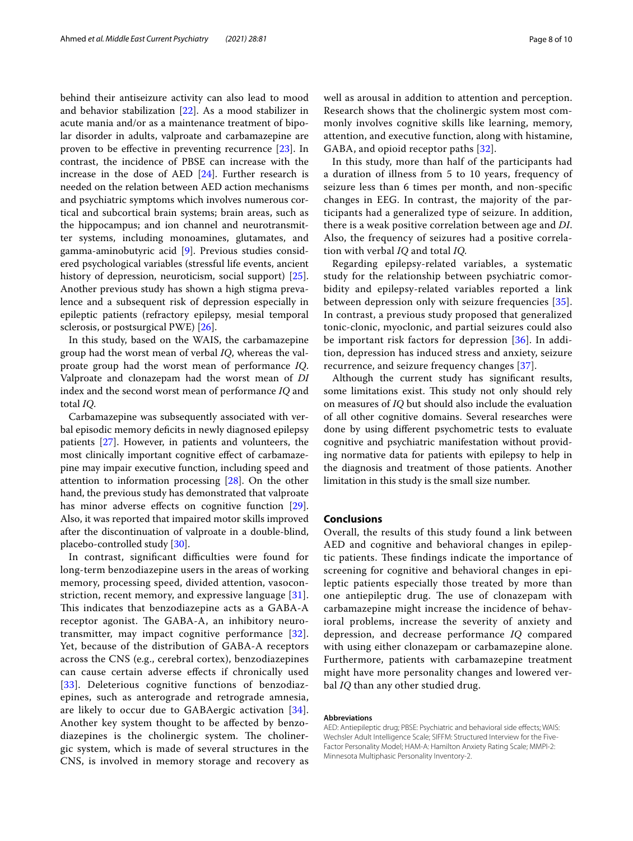behind their antiseizure activity can also lead to mood and behavior stabilization [[22\]](#page-8-22). As a mood stabilizer in acute mania and/or as a maintenance treatment of bipolar disorder in adults, valproate and carbamazepine are proven to be efective in preventing recurrence [[23\]](#page-8-23). In contrast, the incidence of PBSE can increase with the increase in the dose of AED [\[24](#page-8-24)]. Further research is needed on the relation between AED action mechanisms and psychiatric symptoms which involves numerous cortical and subcortical brain systems; brain areas, such as the hippocampus; and ion channel and neurotransmitter systems, including monoamines, glutamates, and gamma-aminobutyric acid [[9\]](#page-8-8). Previous studies considered psychological variables (stressful life events, ancient history of depression, neuroticism, social support) [\[25](#page-8-25)]. Another previous study has shown a high stigma prevalence and a subsequent risk of depression especially in epileptic patients (refractory epilepsy, mesial temporal sclerosis, or postsurgical PWE) [[26\]](#page-8-26).

In this study, based on the WAIS, the carbamazepine group had the worst mean of verbal *IQ*, whereas the valproate group had the worst mean of performance *IQ*. Valproate and clonazepam had the worst mean of *DI* index and the second worst mean of performance *IQ* and total *IQ*.

Carbamazepine was subsequently associated with verbal episodic memory deficits in newly diagnosed epilepsy patients [[27\]](#page-9-0). However, in patients and volunteers, the most clinically important cognitive efect of carbamazepine may impair executive function, including speed and attention to information processing [[28](#page-9-1)]. On the other hand, the previous study has demonstrated that valproate has minor adverse effects on cognitive function [\[29](#page-9-2)]. Also, it was reported that impaired motor skills improved after the discontinuation of valproate in a double-blind, placebo-controlled study [[30](#page-9-3)].

In contrast, significant difficulties were found for long-term benzodiazepine users in the areas of working memory, processing speed, divided attention, vasoconstriction, recent memory, and expressive language [[31\]](#page-9-4). This indicates that benzodiazepine acts as a GABA-A receptor agonist. The GABA-A, an inhibitory neurotransmitter, may impact cognitive performance [[32\]](#page-9-5). Yet, because of the distribution of GABA-A receptors across the CNS (e.g., cerebral cortex), benzodiazepines can cause certain adverse efects if chronically used [[33](#page-9-6)]. Deleterious cognitive functions of benzodiazepines, such as anterograde and retrograde amnesia, are likely to occur due to GABAergic activation [[34](#page-9-7)]. Another key system thought to be afected by benzodiazepines is the cholinergic system. The cholinergic system, which is made of several structures in the CNS, is involved in memory storage and recovery as well as arousal in addition to attention and perception. Research shows that the cholinergic system most commonly involves cognitive skills like learning, memory, attention, and executive function, along with histamine, GABA, and opioid receptor paths [[32\]](#page-9-5).

In this study, more than half of the participants had a duration of illness from 5 to 10 years, frequency of seizure less than 6 times per month, and non-specifc changes in EEG. In contrast, the majority of the participants had a generalized type of seizure. In addition, there is a weak positive correlation between age and *DI*. Also, the frequency of seizures had a positive correlation with verbal *IQ* and total *IQ.*

Regarding epilepsy-related variables, a systematic study for the relationship between psychiatric comorbidity and epilepsy-related variables reported a link between depression only with seizure frequencies [[35](#page-9-8)]. In contrast, a previous study proposed that generalized tonic-clonic, myoclonic, and partial seizures could also be important risk factors for depression [[36\]](#page-9-9). In addition, depression has induced stress and anxiety, seizure recurrence, and seizure frequency changes [[37\]](#page-9-10).

Although the current study has signifcant results, some limitations exist. This study not only should rely on measures of *IQ* but should also include the evaluation of all other cognitive domains. Several researches were done by using diferent psychometric tests to evaluate cognitive and psychiatric manifestation without providing normative data for patients with epilepsy to help in the diagnosis and treatment of those patients. Another limitation in this study is the small size number.

## **Conclusions**

Overall, the results of this study found a link between AED and cognitive and behavioral changes in epileptic patients. These findings indicate the importance of screening for cognitive and behavioral changes in epileptic patients especially those treated by more than one antiepileptic drug. The use of clonazepam with carbamazepine might increase the incidence of behavioral problems, increase the severity of anxiety and depression, and decrease performance *IQ* compared with using either clonazepam or carbamazepine alone. Furthermore, patients with carbamazepine treatment might have more personality changes and lowered verbal *IQ* than any other studied drug.

#### **Abbreviations**

AED: Antiepileptic drug; PBSE: Psychiatric and behavioral side effects; WAIS: Wechsler Adult Intelligence Scale; SIFFM: Structured Interview for the Five-Factor Personality Model; HAM-A: Hamilton Anxiety Rating Scale; MMPI-2: Minnesota Multiphasic Personality Inventory-2.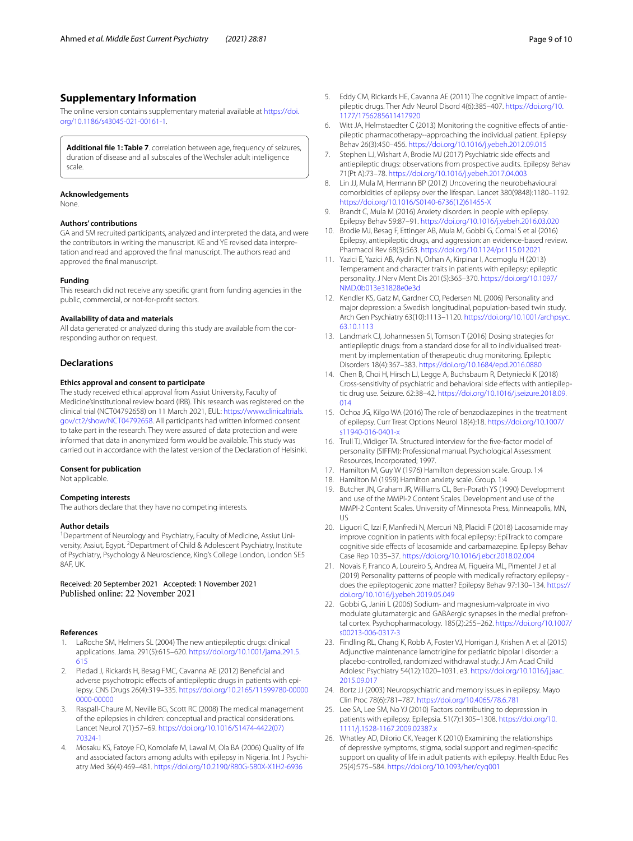## **Supplementary Information**

The online version contains supplementary material available at [https://doi.](https://doi.org/10.1186/s43045-021-00161-1) [org/10.1186/s43045-021-00161-1](https://doi.org/10.1186/s43045-021-00161-1).

<span id="page-8-19"></span>**Additional fle 1: Table 7**. correlation between age, frequency of seizures, duration of disease and all subscales of the Wechsler adult intelligence scale.

#### **Acknowledgements**

None.

#### **Authors' contributions**

GA and SM recruited participants, analyzed and interpreted the data, and were the contributors in writing the manuscript. KE and YE revised data interpretation and read and approved the fnal manuscript. The authors read and approved the fnal manuscript.

#### **Funding**

This research did not receive any specifc grant from funding agencies in the public, commercial, or not-for-proft sectors.

#### **Availability of data and materials**

All data generated or analyzed during this study are available from the corresponding author on request.

## **Declarations**

#### **Ethics approval and consent to participate**

The study received ethical approval from Assiut University, Faculty of Medicine'sinstitutional review board (IRB). This research was registered on the clinical trial (NCT04792658) on 11 March 2021, EUL: [https://www.clinicaltrials.](https://www.clinicaltrials.gov/ct2/show/NCT04792658) [gov/ct2/show/NCT04792658.](https://www.clinicaltrials.gov/ct2/show/NCT04792658) All participants had written informed consent to take part in the research. They were assured of data protection and were informed that data in anonymized form would be available. This study was carried out in accordance with the latest version of the Declaration of Helsinki.

#### **Consent for publication**

Not applicable.

## **Competing interests**

The authors declare that they have no competing interests.

#### **Author details**

<sup>1</sup> Department of Neurology and Psychiatry, Faculty of Medicine, Assiut University, Assiut, Egypt. <sup>2</sup> Department of Child & Adolescent Psychiatry, Institute of Psychiatry, Psychology & Neuroscience, King's College London, London SE5 8AF, UK.

Received: 20 September 2021 Accepted: 1 November 2021 Published online: 22 November 2021

#### **References**

- <span id="page-8-0"></span>1. LaRoche SM, Helmers SL (2004) The new antiepileptic drugs: clinical applications. Jama. 291(5):615–620. [https://doi.org/10.1001/jama.291.5.](https://doi.org/10.1001/jama.291.5.615) [615](https://doi.org/10.1001/jama.291.5.615)
- <span id="page-8-1"></span>2. Piedad J, Rickards H, Besag FMC, Cavanna AE (2012) Benefcial and adverse psychotropic effects of antiepileptic drugs in patients with epilepsy. CNS Drugs 26(4):319–335. [https://doi.org/10.2165/11599780-00000](https://doi.org/10.2165/11599780-000000000-00000) [0000-00000](https://doi.org/10.2165/11599780-000000000-00000)
- <span id="page-8-2"></span>3. Raspall-Chaure M, Neville BG, Scott RC (2008) The medical management of the epilepsies in children: conceptual and practical considerations. Lancet Neurol 7(1):57–69. [https://doi.org/10.1016/S1474-4422\(07\)](https://doi.org/10.1016/S1474-4422(07)70324-1) [70324-1](https://doi.org/10.1016/S1474-4422(07)70324-1)
- <span id="page-8-3"></span>4. Mosaku KS, Fatoye FO, Komolafe M, Lawal M, Ola BA (2006) Quality of life and associated factors among adults with epilepsy in Nigeria. Int J Psychiatry Med 36(4):469–481. <https://doi.org/10.2190/R80G-580X-X1H2-6936>
- <span id="page-8-4"></span>5. Eddy CM, Rickards HE, Cavanna AE (2011) The cognitive impact of antiepileptic drugs. Ther Adv Neurol Disord 4(6):385–407. [https://doi.org/10.](https://doi.org/10.1177/1756285611417920) [1177/1756285611417920](https://doi.org/10.1177/1756285611417920)
- <span id="page-8-5"></span>6. Witt JA, Helmstaedter C (2013) Monitoring the cognitive efects of antiepileptic pharmacotherapy--approaching the individual patient. Epilepsy Behav 26(3):450–456.<https://doi.org/10.1016/j.yebeh.2012.09.015>
- <span id="page-8-6"></span>7. Stephen LJ, Wishart A, Brodie MJ (2017) Psychiatric side effects and antiepileptic drugs: observations from prospective audits. Epilepsy Behav 71(Pt A):73–78. <https://doi.org/10.1016/j.yebeh.2017.04.003>
- <span id="page-8-7"></span>8. Lin JJ, Mula M, Hermann BP (2012) Uncovering the neurobehavioural comorbidities of epilepsy over the lifespan. Lancet 380(9848):1180–1192. [https://doi.org/10.1016/S0140-6736\(12\)61455-X](https://doi.org/10.1016/S0140-6736(12)61455-X)
- <span id="page-8-8"></span>9. Brandt C, Mula M (2016) Anxiety disorders in people with epilepsy. Epilepsy Behav 59:87–91. <https://doi.org/10.1016/j.yebeh.2016.03.020>
- <span id="page-8-9"></span>10. Brodie MJ, Besag F, Ettinger AB, Mula M, Gobbi G, Comai S et al (2016) Epilepsy, antiepileptic drugs, and aggression: an evidence-based review. Pharmacol Rev 68(3):563. <https://doi.org/10.1124/pr.115.012021>
- <span id="page-8-10"></span>11. Yazici E, Yazici AB, Aydin N, Orhan A, Kirpinar I, Acemoglu H (2013) Temperament and character traits in patients with epilepsy: epileptic personality. J Nerv Ment Dis 201(5):365–370. [https://doi.org/10.1097/](https://doi.org/10.1097/NMD.0b013e31828e0e3d) [NMD.0b013e31828e0e3d](https://doi.org/10.1097/NMD.0b013e31828e0e3d)
- <span id="page-8-11"></span>12. Kendler KS, Gatz M, Gardner CO, Pedersen NL (2006) Personality and major depression: a Swedish longitudinal, population-based twin study. Arch Gen Psychiatry 63(10):1113–1120. [https://doi.org/10.1001/archpsyc.](https://doi.org/10.1001/archpsyc.63.10.1113) [63.10.1113](https://doi.org/10.1001/archpsyc.63.10.1113)
- <span id="page-8-12"></span>13. Landmark CJ, Johannessen SI, Tomson T (2016) Dosing strategies for antiepileptic drugs: from a standard dose for all to individualised treatment by implementation of therapeutic drug monitoring. Epileptic Disorders 18(4):367–383.<https://doi.org/10.1684/epd.2016.0880>
- <span id="page-8-13"></span>14. Chen B, Choi H, Hirsch LJ, Legge A, Buchsbaum R, Detyniecki K (2018) Cross-sensitivity of psychiatric and behavioral side efects with antiepileptic drug use. Seizure. 62:38–42. [https://doi.org/10.1016/j.seizure.2018.09.](https://doi.org/10.1016/j.seizure.2018.09.014) [014](https://doi.org/10.1016/j.seizure.2018.09.014)
- <span id="page-8-14"></span>15. Ochoa JG, Kilgo WA (2016) The role of benzodiazepines in the treatment of epilepsy. Curr Treat Options Neurol 18(4):18. [https://doi.org/10.1007/](https://doi.org/10.1007/s11940-016-0401-x) [s11940-016-0401-x](https://doi.org/10.1007/s11940-016-0401-x)
- <span id="page-8-15"></span>16. Trull TJ, Widiger TA. Structured interview for the fve-factor model of personality (SIFFM): Professional manual. Psychological Assessment Resources, Incorporated; 1997.
- <span id="page-8-16"></span>17. Hamilton M, Guy W (1976) Hamilton depression scale. Group. 1:4
- <span id="page-8-17"></span>18. Hamilton M (1959) Hamilton anxiety scale. Group. 1:4
- <span id="page-8-18"></span>19. Butcher JN, Graham JR, Williams CL, Ben-Porath YS (1990) Development and use of the MMPI-2 Content Scales. Development and use of the MMPI-2 Content Scales. University of Minnesota Press, Minneapolis, MN, US
- <span id="page-8-20"></span>20. Liguori C, Izzi F, Manfredi N, Mercuri NB, Placidi F (2018) Lacosamide may improve cognition in patients with focal epilepsy: EpiTrack to compare cognitive side efects of lacosamide and carbamazepine. Epilepsy Behav Case Rep 10:35–37. <https://doi.org/10.1016/j.ebcr.2018.02.004>
- <span id="page-8-21"></span>21. Novais F, Franco A, Loureiro S, Andrea M, Figueira ML, Pimentel J et al (2019) Personality patterns of people with medically refractory epilepsy does the epileptogenic zone matter? Epilepsy Behav 97:130–134. [https://](https://doi.org/10.1016/j.yebeh.2019.05.049) [doi.org/10.1016/j.yebeh.2019.05.049](https://doi.org/10.1016/j.yebeh.2019.05.049)
- <span id="page-8-22"></span>22. Gobbi G, Janiri L (2006) Sodium- and magnesium-valproate in vivo modulate glutamatergic and GABAergic synapses in the medial prefrontal cortex. Psychopharmacology. 185(2):255–262. [https://doi.org/10.1007/](https://doi.org/10.1007/s00213-006-0317-3) [s00213-006-0317-3](https://doi.org/10.1007/s00213-006-0317-3)
- <span id="page-8-23"></span>23. Findling RL, Chang K, Robb A, Foster VJ, Horrigan J, Krishen A et al (2015) Adjunctive maintenance lamotrigine for pediatric bipolar I disorder: a placebo-controlled, randomized withdrawal study. J Am Acad Child Adolesc Psychiatry 54(12):1020–1031. e3. [https://doi.org/10.1016/j.jaac.](https://doi.org/10.1016/j.jaac.2015.09.017) [2015.09.017](https://doi.org/10.1016/j.jaac.2015.09.017)
- <span id="page-8-24"></span>24. Bortz JJ (2003) Neuropsychiatric and memory issues in epilepsy. Mayo Clin Proc 78(6):781–787.<https://doi.org/10.4065/78.6.781>
- <span id="page-8-25"></span>25. Lee SA, Lee SM, No YJ (2010) Factors contributing to depression in patients with epilepsy. Epilepsia. 51(7):1305–1308. [https://doi.org/10.](https://doi.org/10.1111/j.1528-1167.2009.02387.x) [1111/j.1528-1167.2009.02387.x](https://doi.org/10.1111/j.1528-1167.2009.02387.x)
- <span id="page-8-26"></span>26. Whatley AD, DiIorio CK, Yeager K (2010) Examining the relationships of depressive symptoms, stigma, social support and regimen-specifc support on quality of life in adult patients with epilepsy. Health Educ Res 25(4):575–584. <https://doi.org/10.1093/her/cyq001>